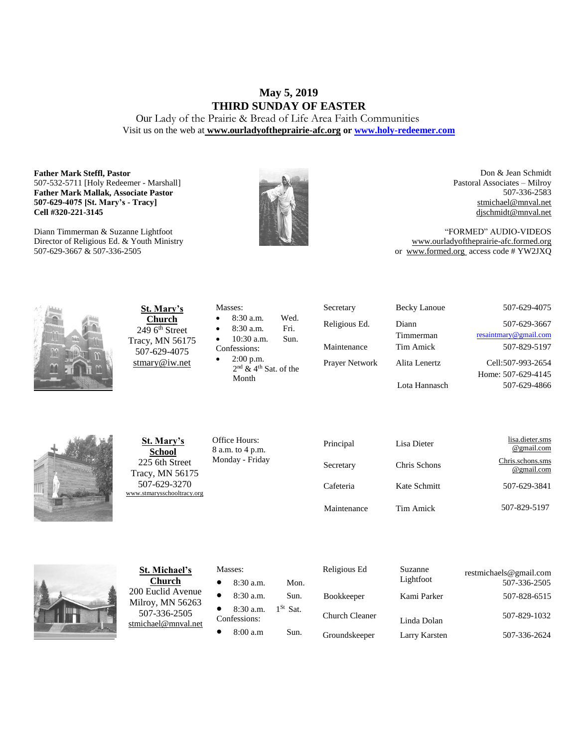# **May 5, 2019 THIRD SUNDAY OF EASTER**

Our Lady of the Prairie & Bread of Life Area Faith Communities Visit us on the web at **[www.ourladyoftheprairie-afc.org](http://www.ourladyoftheprairie-afc.org/) o[r www.holy-redeemer.com](http://www.holy-redeemer.com/)**

#### **Father Mark Steffl, Pastor** 507-532-5711 [Holy Redeemer - Marshall] **Father Mark Mallak, Associate Pastor 507-629-4075 [St. Mary's - Tracy] Cell #320-221-3145**

Diann Timmerman & Suzanne Lightfoot Director of Religious Ed. & Youth Ministry 507-629-3667 & 507-336-2505



Don & Jean Schmidt Pastoral Associates – Milroy 507-336-2583 [stmichael@mnval.net](mailto:stmichael@means.net) [djschmidt@mnval.net](mailto:djschmidt@mnval.net)

"FORMED" AUDIO-VIDEOS [www.ourladyoftheprairie-afc.formed.org](http://www.ourladyoftheprairie-afc.formed.org/) or www.formed.org access code # YW2JXQ



**St. Mary's Church**  $2496$ <sup>th</sup> Street Tracy, MN 56175 507-629-4075 [stmary@iw.net](mailto:stmary@iw.net)

|              | Masses:                             |      |  |  |
|--------------|-------------------------------------|------|--|--|
| $\bullet$    | 8:30 a.m.                           | Wed. |  |  |
| $\bullet$    | 8:30 a.m.                           | Fri. |  |  |
| $\bullet$    | $10:30$ a.m.                        | Sun. |  |  |
| Confessions: |                                     |      |  |  |
| $\bullet$    | $2:00$ p.m.                         |      |  |  |
|              | $2nd$ & 4 <sup>th</sup> Sat. of the |      |  |  |

Secretary Becky Lanoue 507-629-4075 Religious Ed. Diann Timmerman Prayer Network Alita Lenertz Lota Hannasch

507-629-3667 [resaintmary@gmail.com](mailto:resaintmary@gmail.com) Maintenance Tim Amick 507-829-5197 Cell:507-993-2654 Home: 507-629-4145 507-629-4866



**St. Mary's School** 225 6th Street Tracy, MN 56175 507-629-3270 [www.stmarysschooltracy.org](http://www.stmarysschooltracy.org/) Office Hours: 8 a.m. to 4 p.m. Monday - Friday

Month

| Principal   | Lisa Dieter  | lisa.dieter.sms<br>@gmail.com  |
|-------------|--------------|--------------------------------|
| Secretary   | Chris Schons | Chris.schons.sms<br>@gmail.com |
| Cafeteria   | Kate Schmitt | 507-629-3841                   |
| Maintenance | Tim Amick    | 507-829-5197                   |



**St. Michael's Church** 200 Euclid Avenue Milroy, MN 56263 507-336-2505 [stmichael@mnval.net](mailto:stmichael@mnval.net)

#### Masses:

• 8:30 a.m. Mon.  $\bullet$  8:30 a.m. Sun. 8:30 a.m.  $1^{St}$  Sat. Confessions:  $\bullet$  8:00 a.m Sun.

| Religious Ed          | Suzanne<br>Lightfoot | restmichaels@gmail.com<br>507-336-2505 |
|-----------------------|----------------------|----------------------------------------|
| <b>Bookkeeper</b>     | Kami Parker          | 507-828-6515                           |
| <b>Church Cleaner</b> | Linda Dolan          | 507-829-1032                           |
| Groundskeeper         | Larry Karsten        | 507-336-2624                           |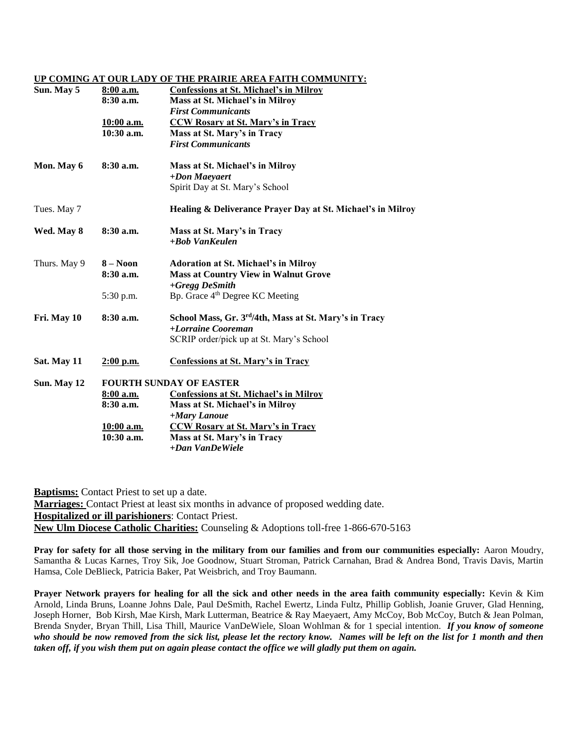#### **UP COMING AT OUR LADY OF THE PRAIRIE AREA FAITH COMMUNITY:**

| Sun. May 5   | 8:00 a.m.<br>$8:30$ a.m.       | <b>Confessions at St. Michael's in Milroy</b><br>Mass at St. Michael's in Milroy<br><b>First Communicants</b> |  |
|--------------|--------------------------------|---------------------------------------------------------------------------------------------------------------|--|
|              | $10:00$ a.m.                   | <b>CCW Rosary at St. Mary's in Tracy</b>                                                                      |  |
|              | $10:30$ a.m.                   | Mass at St. Mary's in Tracy                                                                                   |  |
|              |                                | <b>First Communicants</b>                                                                                     |  |
| Mon. May 6   | 8:30a.m.                       | Mass at St. Michael's in Milroy                                                                               |  |
|              |                                | +Don Maeyaert                                                                                                 |  |
|              |                                | Spirit Day at St. Mary's School                                                                               |  |
| Tues. May 7  |                                | Healing & Deliverance Prayer Day at St. Michael's in Milroy                                                   |  |
| Wed. May 8   | $8:30$ a.m.                    | Mass at St. Mary's in Tracy                                                                                   |  |
|              |                                | +Bob VanKeulen                                                                                                |  |
| Thurs. May 9 | $8 - N00n$                     | <b>Adoration at St. Michael's in Milroy</b>                                                                   |  |
|              | $8:30$ a.m.                    | <b>Mass at Country View in Walnut Grove</b><br>+Gregg DeSmith                                                 |  |
|              | 5:30 p.m.                      | Bp. Grace 4 <sup>th</sup> Degree KC Meeting                                                                   |  |
|              |                                |                                                                                                               |  |
| Fri. May 10  | 8:30 a.m.                      | School Mass, Gr. 3rd/4th, Mass at St. Mary's in Tracy                                                         |  |
|              |                                | +Lorraine Cooreman                                                                                            |  |
|              |                                | SCRIP order/pick up at St. Mary's School                                                                      |  |
| Sat. May 11  | $2:00$ p.m.                    | <b>Confessions at St. Mary's in Tracy</b>                                                                     |  |
| Sun. May 12  | <b>FOURTH SUNDAY OF EASTER</b> |                                                                                                               |  |
|              | 8:00 a.m.                      | <b>Confessions at St. Michael's in Milroy</b>                                                                 |  |
|              | 8:30a.m.                       | Mass at St. Michael's in Milroy                                                                               |  |
|              |                                | +Mary Lanoue                                                                                                  |  |
|              | 10:00 a.m.                     | <b>CCW Rosary at St. Mary's in Tracy</b>                                                                      |  |
|              | $10:30$ a.m.                   | Mass at St. Mary's in Tracy                                                                                   |  |
|              |                                | +Dan VanDeWiele                                                                                               |  |
|              |                                |                                                                                                               |  |

**Baptisms:** Contact Priest to set up a date. **Marriages:** Contact Priest at least six months in advance of proposed wedding date. **Hospitalized or ill parishioners**: Contact Priest. **New Ulm Diocese Catholic Charities:** Counseling & Adoptions toll-free 1-866-670-5163

**Pray for safety for all those serving in the military from our families and from our communities especially:** Aaron Moudry, Samantha & Lucas Karnes, Troy Sik, Joe Goodnow, Stuart Stroman, Patrick Carnahan, Brad & Andrea Bond, Travis Davis, Martin Hamsa, Cole DeBlieck, Patricia Baker, Pat Weisbrich, and Troy Baumann.

**Prayer Network prayers for healing for all the sick and other needs in the area faith community especially:** Kevin & Kim Arnold, Linda Bruns, Loanne Johns Dale, Paul DeSmith, Rachel Ewertz, Linda Fultz, Phillip Goblish, Joanie Gruver, Glad Henning, Joseph Horner, Bob Kirsh, Mae Kirsh, Mark Lutterman, Beatrice & Ray Maeyaert, Amy McCoy, Bob McCoy, Butch & Jean Polman, Brenda Snyder, Bryan Thill, Lisa Thill, Maurice VanDeWiele, Sloan Wohlman & for 1 special intention. *If you know of someone who should be now removed from the sick list, please let the rectory know. Names will be left on the list for 1 month and then taken off, if you wish them put on again please contact the office we will gladly put them on again.*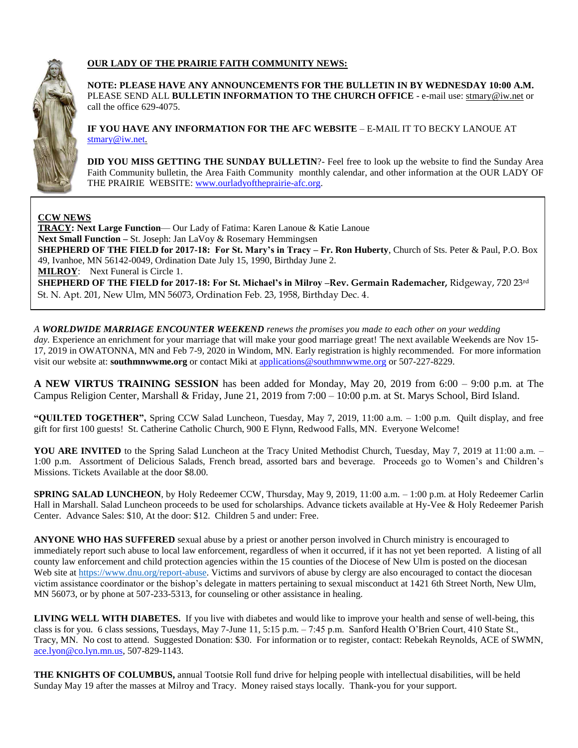

### **OUR LADY OF THE PRAIRIE FAITH COMMUNITY NEWS:**

**NOTE: PLEASE HAVE ANY ANNOUNCEMENTS FOR THE BULLETIN IN BY WEDNESDAY 10:00 A.M.** PLEASE SEND ALL **BULLETIN INFORMATION TO THE CHURCH OFFICE** - e-mail use[: stmary@iw.net](mailto:stmary@iw.net) or call the office 629-4075.

**IF YOU HAVE ANY INFORMATION FOR THE AFC WEBSITE** – E-MAIL IT TO BECKY LANOUE AT [stmary@iw.net.](mailto:stmary@iw.net)

**DID YOU MISS GETTING THE SUNDAY BULLETIN**?- Feel free to look up the website to find the Sunday Area Faith Community bulletin, the Area Faith Community monthly calendar, and other information at the OUR LADY OF THE PRAIRIE WEBSITE: [www.ourladyoftheprairie-afc.org.](http://www.ourladyoftheprairie-afc.org/)

### **CCW NEWS**

**TRACY: Next Large Function**— Our Lady of Fatima: Karen Lanoue & Katie Lanoue **Next Small Function –** St. Joseph: Jan LaVoy & Rosemary Hemmingsen **SHEPHERD OF THE FIELD for 2017-18: For St. Mary's in Tracy – Fr. Ron Huberty**, Church of Sts. Peter & Paul, P.O. Box 49, Ivanhoe, MN 56142-0049, Ordination Date July 15, 1990, Birthday June 2. **MILROY**: Next Funeral is Circle 1. **SHEPHERD OF THE FIELD for 2017-18: For St. Michael's in Milroy –Rev. Germain Rademacher,** Ridgeway, 720 23rd St. N. Apt. 201, New Ulm, MN 56073, Ordination Feb. 23, 1958, Birthday Dec. 4.

*A WORLDWIDE MARRIAGE ENCOUNTER WEEKEND renews the promises you made to each other on your wedding day.* Experience an enrichment for your marriage that will make your good marriage great! The next available Weekends are Nov 15- 17, 2019 in OWATONNA, MN and Feb 7-9, 2020 in Windom, MN. Early registration is highly recommended. For more information visit our website at: **southmnwwme.org** or contact Miki at [applications@southmnwwme.org](mailto:wmandbethnickles@hotmail.com) or 507-227-8229.

**A NEW VIRTUS TRAINING SESSION** has been added for Monday, May 20, 2019 from 6:00 – 9:00 p.m. at The Campus Religion Center, Marshall & Friday, June 21, 2019 from 7:00 – 10:00 p.m. at St. Marys School, Bird Island.

**"QUILTED TOGETHER",** Spring CCW Salad Luncheon, Tuesday, May 7, 2019, 11:00 a.m. – 1:00 p.m. Quilt display, and free gift for first 100 guests! St. Catherine Catholic Church, 900 E Flynn, Redwood Falls, MN. Everyone Welcome!

**YOU ARE INVITED** to the Spring Salad Luncheon at the Tracy United Methodist Church, Tuesday, May 7, 2019 at 11:00 a.m. – 1:00 p.m. Assortment of Delicious Salads, French bread, assorted bars and beverage. Proceeds go to Women's and Children's Missions. Tickets Available at the door \$8.00.

**SPRING SALAD LUNCHEON**, by Holy Redeemer CCW, Thursday, May 9, 2019, 11:00 a.m. – 1:00 p.m. at Holy Redeemer Carlin Hall in Marshall. Salad Luncheon proceeds to be used for scholarships. Advance tickets available at Hy-Vee & Holy Redeemer Parish Center. Advance Sales: \$10, At the door: \$12. Children 5 and under: Free.

**ANYONE WHO HAS SUFFERED** sexual abuse by a priest or another person involved in Church ministry is encouraged to immediately report such abuse to local law enforcement, regardless of when it occurred, if it has not yet been reported. A listing of all county law enforcement and child protection agencies within the 15 counties of the Diocese of New Ulm is posted on the diocesan Web site at [https://www.dnu.org/report-abuse.](https://www.dnu.org/report-abuse) Victims and survivors of abuse by clergy are also encouraged to contact the diocesan victim assistance coordinator or the bishop's delegate in matters pertaining to sexual misconduct at 1421 6th Street North, New Ulm, MN 56073, or by phone at 507-233-5313, for counseling or other assistance in healing.

**LIVING WELL WITH DIABETES.** If you live with diabetes and would like to improve your health and sense of well-being, this class is for you. 6 class sessions, Tuesdays, May 7-June 11, 5:15 p.m. – 7:45 p.m. Sanford Health O'Brien Court, 410 State St., Tracy, MN. No cost to attend. Suggested Donation: \$30. For information or to register, contact: Rebekah Reynolds, ACE of SWMN, [ace.lyon@co.lyn.mn.us,](mailto:ace.lyon@co.lyn.mn.us) 507-829-1143.

**THE KNIGHTS OF COLUMBUS,** annual Tootsie Roll fund drive for helping people with intellectual disabilities, will be held Sunday May 19 after the masses at Milroy and Tracy. Money raised stays locally. Thank-you for your support.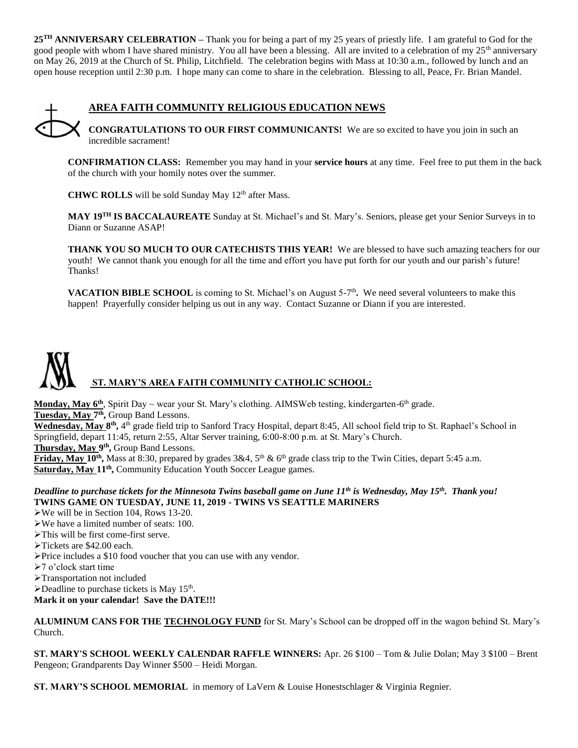**25TH ANNIVERSARY CELEBRATION –** Thank you for being a part of my 25 years of priestly life. I am grateful to God for the good people with whom I have shared ministry. You all have been a blessing. All are invited to a celebration of my 25<sup>th</sup> anniversary on May 26, 2019 at the Church of St. Philip, Litchfield. The celebration begins with Mass at 10:30 a.m., followed by lunch and an open house reception until 2:30 p.m. I hope many can come to share in the celebration. Blessing to all, Peace, Fr. Brian Mandel.



### **AREA FAITH COMMUNITY RELIGIOUS EDUCATION NEWS**

**CONGRATULATIONS TO OUR FIRST COMMUNICANTS!** We are so excited to have you join in such an incredible sacrament!

**CONFIRMATION CLASS:** Remember you may hand in your **service hours** at any time. Feel free to put them in the back of the church with your homily notes over the summer.

**CHWC ROLLS** will be sold Sunday May 12<sup>th</sup> after Mass.

**MAY 19TH IS BACCALAUREATE** Sunday at St. Michael's and St. Mary's. Seniors, please get your Senior Surveys in to Diann or Suzanne ASAP!

**THANK YOU SO MUCH TO OUR CATECHISTS THIS YEAR!** We are blessed to have such amazing teachers for our youth! We cannot thank you enough for all the time and effort you have put forth for our youth and our parish's future! Thanks!

**VACATION BIBLE SCHOOL** is coming to St. Michael's on August 5-7<sup>th</sup>. We need several volunteers to make this happen! Prayerfully consider helping us out in any way. Contact Suzanne or Diann if you are interested.



**Monday, May 6<sup>th</sup>**, Spirit Day ~ wear your St. Mary's clothing. AIMSWeb testing, kindergarten-6<sup>th</sup> grade. Tuesday, May 7<sup>th</sup>, Group Band Lessons. Wednesday, May 8<sup>th</sup>, 4<sup>th</sup> grade field trip to Sanford Tracy Hospital, depart 8:45, All school field trip to St. Raphael's School in

Springfield, depart 11:45, return 2:55, Altar Server training, 6:00-8:00 p.m. at St. Mary's Church.

Thursday, May 9<sup>th</sup>, Group Band Lessons.

**Friday, May 10<sup>th</sup>**, Mass at 8:30, prepared by grades  $3\&4$ ,  $5<sup>th</sup>$  & 6<sup>th</sup> grade class trip to the Twin Cities, depart 5:45 a.m. Saturday, May 11<sup>th</sup>, Community Education Youth Soccer League games.

#### *Deadline to purchase tickets for the Minnesota Twins baseball game on June 11th is Wednesday, May 15th. Thank you!* **TWINS GAME ON TUESDAY, JUNE 11, 2019 - TWINS VS SEATTLE MARINERS**

- We will be in Section 104, Rows 13-20.
- We have a limited number of seats: 100.
- This will be first come-first serve.
- Tickets are \$42.00 each.
- Price includes a \$10 food voucher that you can use with any vendor.
- 7 o'clock start time
- Transportation not included
- $\blacktriangleright$  Deadline to purchase tickets is May 15<sup>th</sup>.

**Mark it on your calendar! Save the DATE!!!**

**ALUMINUM CANS FOR THE TECHNOLOGY FUND** for St. Mary's School can be dropped off in the wagon behind St. Mary's Church.

**ST. MARY'S SCHOOL WEEKLY CALENDAR RAFFLE WINNERS:** Apr. 26 \$100 – Tom & Julie Dolan; May 3 \$100 – Brent Pengeon; Grandparents Day Winner \$500 – Heidi Morgan.

**ST. MARY'S SCHOOL MEMORIAL** in memory of LaVern & Louise Honestschlager & Virginia Regnier.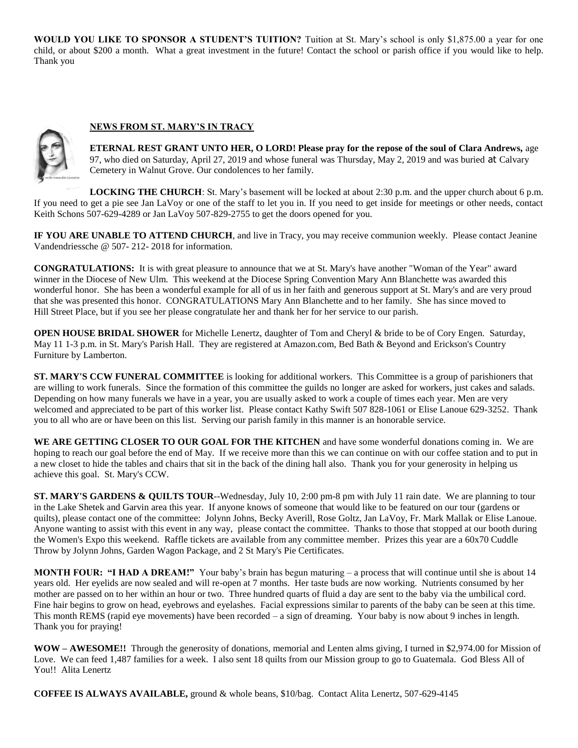**WOULD YOU LIKE TO SPONSOR A STUDENT'S TUITION?** Tuition at St. Mary's school is only \$1,875.00 a year for one child, or about \$200 a month. What a great investment in the future! Contact the school or parish office if you would like to help. Thank you

### **NEWS FROM ST. MARY'S IN TRACY**



**ETERNAL REST GRANT UNTO HER, O LORD! Please pray for the repose of the soul of Clara Andrews,** age 97, who died on Saturday, April 27, 2019 and whose funeral was Thursday, May 2, 2019 and was buried at Calvary Cemetery in Walnut Grove. Our condolences to her family.

**LOCKING THE CHURCH**: St. Mary's basement will be locked at about 2:30 p.m. and the upper church about 6 p.m. If you need to get a pie see Jan LaVoy or one of the staff to let you in. If you need to get inside for meetings or other needs, contact Keith Schons 507-629-4289 or Jan LaVoy 507-829-2755 to get the doors opened for you.

**IF YOU ARE UNABLE TO ATTEND CHURCH**, and live in Tracy, you may receive communion weekly. Please contact Jeanine Vandendriessche @ 507- 212- 2018 for information.

**CONGRATULATIONS:** It is with great pleasure to announce that we at St. Mary's have another "Woman of the Year" award winner in the Diocese of New Ulm. This weekend at the Diocese Spring Convention Mary Ann Blanchette was awarded this wonderful honor. She has been a wonderful example for all of us in her faith and generous support at St. Mary's and are very proud that she was presented this honor. CONGRATULATIONS Mary Ann Blanchette and to her family. She has since moved to Hill Street Place, but if you see her please congratulate her and thank her for her service to our parish.

**OPEN HOUSE BRIDAL SHOWER** for Michelle Lenertz, daughter of Tom and Cheryl & bride to be of Cory Engen. Saturday, May 11 1-3 p.m. in St. Mary's Parish Hall. They are registered at Amazon.com, Bed Bath & Beyond and Erickson's Country Furniture by Lamberton.

**ST. MARY'S CCW FUNERAL COMMITTEE** is looking for additional workers. This Committee is a group of parishioners that are willing to work funerals. Since the formation of this committee the guilds no longer are asked for workers, just cakes and salads. Depending on how many funerals we have in a year, you are usually asked to work a couple of times each year. Men are very welcomed and appreciated to be part of this worker list. Please contact Kathy Swift 507 828-1061 or Elise Lanoue 629-3252. Thank you to all who are or have been on this list. Serving our parish family in this manner is an honorable service.

WE ARE GETTING CLOSER TO OUR GOAL FOR THE KITCHEN and have some wonderful donations coming in. We are hoping to reach our goal before the end of May. If we receive more than this we can continue on with our coffee station and to put in a new closet to hide the tables and chairs that sit in the back of the dining hall also. Thank you for your generosity in helping us achieve this goal. St. Mary's CCW.

**ST. MARY'S GARDENS & QUILTS TOUR--Wednesday, July 10, 2:00 pm-8 pm with July 11 rain date. We are planning to tour** in the Lake Shetek and Garvin area this year. If anyone knows of someone that would like to be featured on our tour (gardens or quilts), please contact one of the committee: Jolynn Johns, Becky Averill, Rose Goltz, Jan LaVoy, Fr. Mark Mallak or Elise Lanoue. Anyone wanting to assist with this event in any way, please contact the committee. Thanks to those that stopped at our booth during the Women's Expo this weekend. Raffle tickets are available from any committee member. Prizes this year are a 60x70 Cuddle Throw by Jolynn Johns, Garden Wagon Package, and 2 St Mary's Pie Certificates.

**MONTH FOUR: "I HAD A DREAM!"** Your baby's brain has begun maturing – a process that will continue until she is about 14 years old. Her eyelids are now sealed and will re-open at 7 months. Her taste buds are now working. Nutrients consumed by her mother are passed on to her within an hour or two. Three hundred quarts of fluid a day are sent to the baby via the umbilical cord. Fine hair begins to grow on head, eyebrows and eyelashes. Facial expressions similar to parents of the baby can be seen at this time. This month REMS (rapid eye movements) have been recorded – a sign of dreaming. Your baby is now about 9 inches in length. Thank you for praying!

**WOW – AWESOME!!** Through the generosity of donations, memorial and Lenten alms giving, I turned in \$2,974.00 for Mission of Love. We can feed 1,487 families for a week. I also sent 18 quilts from our Mission group to go to Guatemala. God Bless All of You!! Alita Lenertz

**COFFEE IS ALWAYS AVAILABLE,** ground & whole beans, \$10/bag. Contact Alita Lenertz, 507-629-4145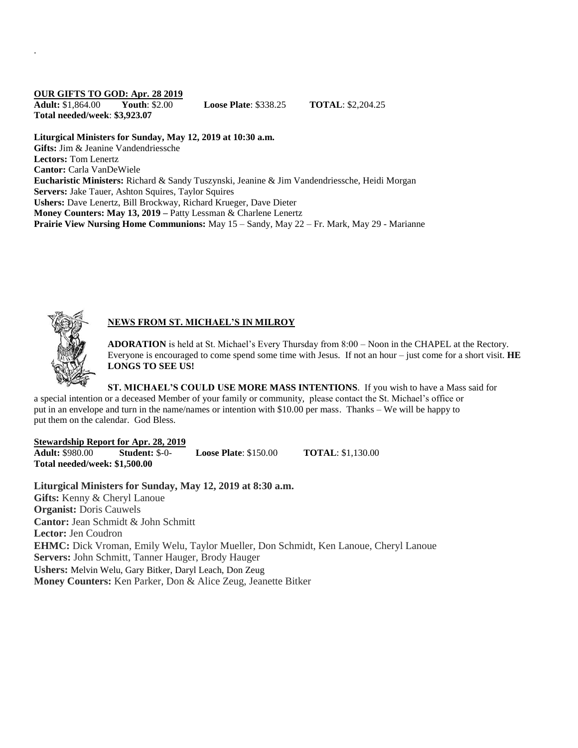### **OUR GIFTS TO GOD: Apr. 28 2019**

.

**Adult:** \$1,864.00 **Youth**: \$2.00 **Loose Plate**: \$338.25 **TOTAL**: \$2,204.25 **Total needed/week**: **\$3,923.07**

**Liturgical Ministers for Sunday, May 12, 2019 at 10:30 a.m. Gifts:** Jim & Jeanine Vandendriessche **Lectors:** Tom Lenertz **Cantor:** Carla VanDeWiele **Eucharistic Ministers:** Richard & Sandy Tuszynski, Jeanine & Jim Vandendriessche, Heidi Morgan **Servers:** Jake Tauer, Ashton Squires, Taylor Squires **Ushers:** Dave Lenertz, Bill Brockway, Richard Krueger, Dave Dieter **Money Counters: May 13, 2019 –** Patty Lessman & Charlene Lenertz **Prairie View Nursing Home Communions:** May 15 – Sandy, May 22 – Fr. Mark, May 29 - Marianne



## **NEWS FROM ST. MICHAEL'S IN MILROY**

**ADORATION** is held at St. Michael's Every Thursday from 8:00 – Noon in the CHAPEL at the Rectory. Everyone is encouraged to come spend some time with Jesus. If not an hour – just come for a short visit. **HE LONGS TO SEE US!**

**ST. MICHAEL'S COULD USE MORE MASS INTENTIONS**. If you wish to have a Mass said for a special intention or a deceased Member of your family or community, please contact the St. Michael's office or put in an envelope and turn in the name/names or intention with \$10.00 per mass. Thanks – We will be happy to put them on the calendar. God Bless.

#### **Stewardship Report for Apr. 28, 2019**

**Adult:** \$980.00 **Student:** \$-0- **Loose Plate**: \$150.00 **TOTAL**: \$1,130.00 **Total needed/week: \$1,500.00**

**Liturgical Ministers for Sunday, May 12, 2019 at 8:30 a.m. Gifts:** Kenny & Cheryl Lanoue **Organist:** Doris Cauwels **Cantor:** Jean Schmidt & John Schmitt **Lector:** Jen Coudron **EHMC:** Dick Vroman, Emily Welu, Taylor Mueller, Don Schmidt, Ken Lanoue, Cheryl Lanoue **Servers:** John Schmitt, Tanner Hauger, Brody Hauger **Ushers:** Melvin Welu, Gary Bitker, Daryl Leach, Don Zeug **Money Counters:** Ken Parker, Don & Alice Zeug, Jeanette Bitker